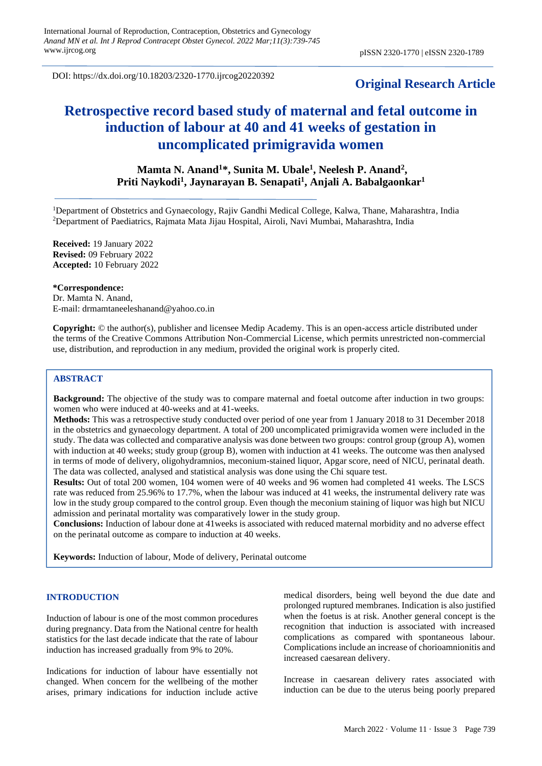DOI: https://dx.doi.org/10.18203/2320-1770.ijrcog20220392

# **Original Research Article**

# **Retrospective record based study of maternal and fetal outcome in induction of labour at 40 and 41 weeks of gestation in uncomplicated primigravida women**

## **Mamta N. Anand<sup>1</sup>\*, Sunita M. Ubale<sup>1</sup> , Neelesh P. Anand<sup>2</sup> , Priti Naykodi<sup>1</sup> , Jaynarayan B. Senapati<sup>1</sup> , Anjali A. Babalgaonkar<sup>1</sup>**

<sup>1</sup>Department of Obstetrics and Gynaecology, Rajiv Gandhi Medical College, Kalwa, Thane, Maharashtra, India <sup>2</sup>Department of Paediatrics, Rajmata Mata Jijau Hospital, Airoli, Navi Mumbai, Maharashtra, India

**Received:** 19 January 2022 **Revised:** 09 February 2022 **Accepted:** 10 February 2022

#### **\*Correspondence:**

Dr. Mamta N. Anand, E-mail: drmamtaneeleshanand@yahoo.co.in

**Copyright:** © the author(s), publisher and licensee Medip Academy. This is an open-access article distributed under the terms of the Creative Commons Attribution Non-Commercial License, which permits unrestricted non-commercial use, distribution, and reproduction in any medium, provided the original work is properly cited.

## **ABSTRACT**

**Background:** The objective of the study was to compare maternal and foetal outcome after induction in two groups: women who were induced at 40-weeks and at 41-weeks.

**Methods:** This was a retrospective study conducted over period of one year from 1 January 2018 to 31 December 2018 in the obstetrics and gynaecology department. A total of 200 uncomplicated primigravida women were included in the study. The data was collected and comparative analysis was done between two groups: control group (group A), women with induction at 40 weeks; study group (group B), women with induction at 41 weeks. The outcome was then analysed in terms of mode of delivery, oligohydramnios, meconium-stained liquor, Apgar score, need of NICU, perinatal death. The data was collected, analysed and statistical analysis was done using the Chi square test.

**Results:** Out of total 200 women, 104 women were of 40 weeks and 96 women had completed 41 weeks. The LSCS rate was reduced from 25.96% to 17.7%, when the labour was induced at 41 weeks, the instrumental delivery rate was low in the study group compared to the control group. Even though the meconium staining of liquor was high but NICU admission and perinatal mortality was comparatively lower in the study group.

**Conclusions:** Induction of labour done at 41weeks is associated with reduced maternal morbidity and no adverse effect on the perinatal outcome as compare to induction at 40 weeks.

**Keywords:** Induction of labour, Mode of delivery, Perinatal outcome

#### **INTRODUCTION**

Induction of labour is one of the most common procedures during pregnancy. Data from the National centre for health statistics for the last decade indicate that the rate of labour induction has increased gradually from 9% to 20%.

Indications for induction of labour have essentially not changed. When concern for the wellbeing of the mother arises, primary indications for induction include active medical disorders, being well beyond the due date and prolonged ruptured membranes. Indication is also justified when the foetus is at risk. Another general concept is the recognition that induction is associated with increased complications as compared with spontaneous labour. Complications include an increase of chorioamnionitis and increased caesarean delivery.

Increase in caesarean delivery rates associated with induction can be due to the uterus being poorly prepared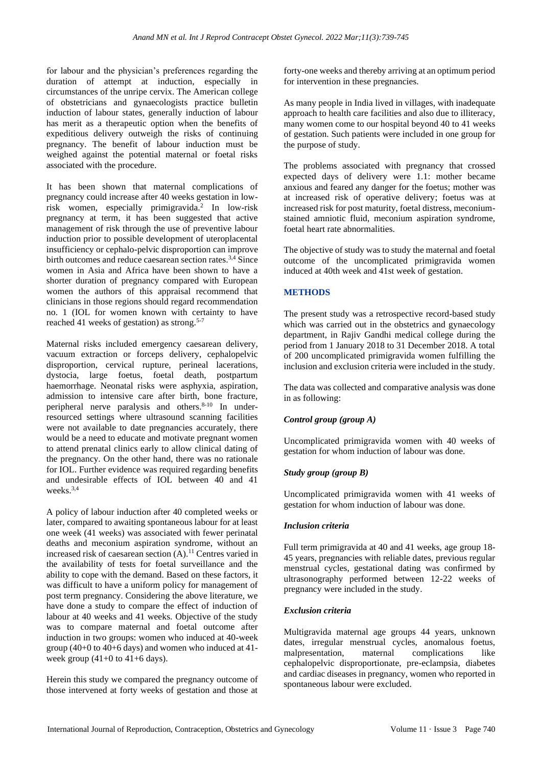for labour and the physician's preferences regarding the duration of attempt at induction, especially in circumstances of the unripe cervix. The American college of obstetricians and gynaecologists practice bulletin induction of labour states, generally induction of labour has merit as a therapeutic option when the benefits of expeditious delivery outweigh the risks of continuing pregnancy. The benefit of labour induction must be weighed against the potential maternal or foetal risks associated with the procedure.

It has been shown that maternal complications of pregnancy could increase after 40 weeks gestation in lowrisk women, especially primigravida.<sup>2</sup> In low-risk pregnancy at term, it has been suggested that active management of risk through the use of preventive labour induction prior to possible development of uteroplacental insufficiency or cephalo-pelvic disproportion can improve birth outcomes and reduce caesarean section rates.<sup>3,4</sup> Since women in Asia and Africa have been shown to have a shorter duration of pregnancy compared with European women the authors of this appraisal recommend that clinicians in those regions should regard recommendation no. 1 (IOL for women known with certainty to have reached 41 weeks of gestation) as strong.<sup>5-7</sup>

Maternal risks included emergency caesarean delivery, vacuum extraction or forceps delivery, cephalopelvic disproportion, cervical rupture, perineal lacerations, dystocia, large foetus, foetal death, postpartum haemorrhage. Neonatal risks were asphyxia, aspiration, admission to intensive care after birth, bone fracture, peripheral nerve paralysis and others.<sup>8-10</sup> In underresourced settings where ultrasound scanning facilities were not available to date pregnancies accurately, there would be a need to educate and motivate pregnant women to attend prenatal clinics early to allow clinical dating of the pregnancy. On the other hand, there was no rationale for IOL. Further evidence was required regarding benefits and undesirable effects of IOL between 40 and 41 weeks.3,4

A policy of labour induction after 40 completed weeks or later, compared to awaiting spontaneous labour for at least one week (41 weeks) was associated with fewer perinatal deaths and meconium aspiration syndrome, without an increased risk of caesarean section (A).<sup>11</sup> Centres varied in the availability of tests for foetal surveillance and the ability to cope with the demand. Based on these factors, it was difficult to have a uniform policy for management of post term pregnancy. Considering the above literature, we have done a study to compare the effect of induction of labour at 40 weeks and 41 weeks. Objective of the study was to compare maternal and foetal outcome after induction in two groups: women who induced at 40-week group (40+0 to 40+6 days) and women who induced at 41 week group  $(41+0)$  to  $41+6$  days).

Herein this study we compared the pregnancy outcome of those intervened at forty weeks of gestation and those at forty-one weeks and thereby arriving at an optimum period for intervention in these pregnancies.

As many people in India lived in villages, with inadequate approach to health care facilities and also due to illiteracy, many women come to our hospital beyond 40 to 41 weeks of gestation. Such patients were included in one group for the purpose of study.

The problems associated with pregnancy that crossed expected days of delivery were 1.1: mother became anxious and feared any danger for the foetus; mother was at increased risk of operative delivery; foetus was at increased risk for post maturity, foetal distress, meconiumstained amniotic fluid, meconium aspiration syndrome, foetal heart rate abnormalities.

The objective of study was to study the maternal and foetal outcome of the uncomplicated primigravida women induced at 40th week and 41st week of gestation.

## **METHODS**

The present study was a retrospective record-based study which was carried out in the obstetrics and gynaecology department, in Rajiv Gandhi medical college during the period from 1 January 2018 to 31 December 2018. A total of 200 uncomplicated primigravida women fulfilling the inclusion and exclusion criteria were included in the study.

The data was collected and comparative analysis was done in as following:

## *Control group (group A)*

Uncomplicated primigravida women with 40 weeks of gestation for whom induction of labour was done.

## *Study group (group B)*

Uncomplicated primigravida women with 41 weeks of gestation for whom induction of labour was done.

## *Inclusion criteria*

Full term primigravida at 40 and 41 weeks, age group 18- 45 years, pregnancies with reliable dates, previous regular menstrual cycles, gestational dating was confirmed by ultrasonography performed between 12-22 weeks of pregnancy were included in the study.

## *Exclusion criteria*

Multigravida maternal age groups 44 years, unknown dates, irregular menstrual cycles, anomalous foetus, malpresentation, maternal complications like cephalopelvic disproportionate, pre-eclampsia, diabetes and cardiac diseases in pregnancy, women who reported in spontaneous labour were excluded.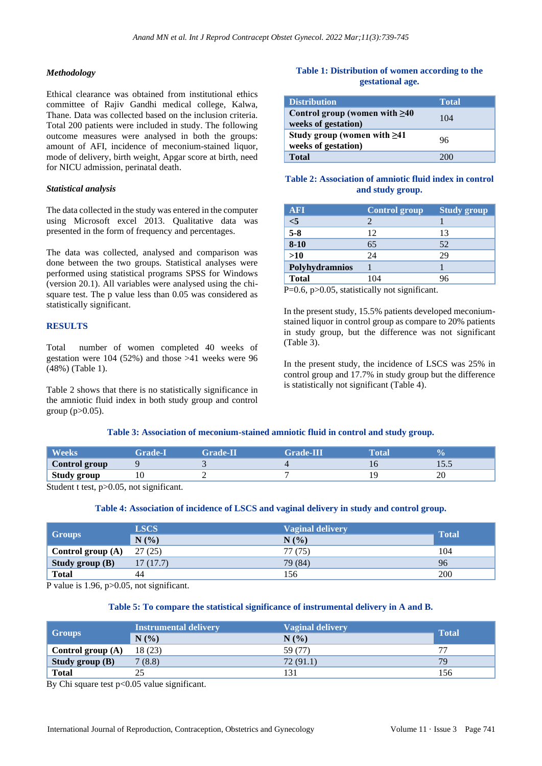### *Methodology*

Ethical clearance was obtained from institutional ethics committee of Rajiv Gandhi medical college, Kalwa, Thane. Data was collected based on the inclusion criteria. Total 200 patients were included in study. The following outcome measures were analysed in both the groups: amount of AFI, incidence of meconium-stained liquor, mode of delivery, birth weight, Apgar score at birth, need for NICU admission, perinatal death.

#### *Statistical analysis*

The data collected in the study was entered in the computer using Microsoft excel 2013. Qualitative data was presented in the form of frequency and percentages.

The data was collected, analysed and comparison was done between the two groups. Statistical analyses were performed using statistical programs SPSS for Windows (version 20.1). All variables were analysed using the chisquare test. The p value less than 0.05 was considered as statistically significant.

### **RESULTS**

Total number of women completed 40 weeks of gestation were 104 (52%) and those >41 weeks were 96 (48%) (Table 1).

Table 2 shows that there is no statistically significance in the amniotic fluid index in both study group and control group (p>0.05).

## **Table 1: Distribution of women according to the gestational age.**

| <b>Distribution</b>                                        | <b>Total</b> |
|------------------------------------------------------------|--------------|
| Control group (women with $\geq 40$<br>weeks of gestation) | 104          |
| Study group (women with $\geq 41$<br>weeks of gestation)   | 96           |
| <b>Total</b>                                               | 200          |

## **Table 2: Association of amniotic fluid index in control and study group.**

| <b>AFI</b>       | <b>Control group</b> | <b>Study group</b> |
|------------------|----------------------|--------------------|
| $<$ 5            |                      |                    |
| $\overline{5-8}$ | 12                   | 13                 |
| $8 - 10$         | 65                   | 52                 |
| $>10$            | 24                   | 29                 |
| Polyhydramnios   |                      |                    |
| <b>Total</b>     | 104                  |                    |

P=0.6, p>0.05, statistically not significant.

In the present study, 15.5% patients developed meconiumstained liquor in control group as compare to 20% patients in study group, but the difference was not significant (Table 3).

In the present study, the incidence of LSCS was 25% in control group and 17.7% in study group but the difference is statistically not significant (Table 4).

## **Table 3: Association of meconium-stained amniotic fluid in control and study group.**

| <b>Weeks</b>       | Grade- | <b>Grade-IL</b> | <b>Grade-III</b> | Total | Ψ'n.   |
|--------------------|--------|-----------------|------------------|-------|--------|
| Control group      |        |                 |                  |       | 1 J .J |
| <b>Study group</b> |        |                 |                  |       | 20     |

Student t test, p>0.05, not significant.

#### **Table 4: Association of incidence of LSCS and vaginal delivery in study and control group.**

| Groups                 | <b>LSCS</b><br>N(%) | <b>Vaginal delivery</b><br>N(% | <b>Total</b> |
|------------------------|---------------------|--------------------------------|--------------|
| Control group $(A)$    | 27(25)              | 77 (75)                        | 104          |
| <b>Study group (B)</b> | 17(17.7)            | 79 (84)                        | 96           |
| <b>Total</b>           | 44                  | 156                            | 200          |

P value is 1.96, p>0.05, not significant.

#### **Table 5: To compare the statistical significance of instrumental delivery in A and B.**

| <b>Groups</b>       | <b>Instrumental delivery</b><br>N(% | <b>Vaginal delivery</b><br>$N(\%)$ | <b>Total</b> |
|---------------------|-------------------------------------|------------------------------------|--------------|
| Control group $(A)$ | 18 (23)                             | 59 (77)                            | 77           |
| Study group $(B)$   | 7(8.8)                              | 72(91.1)                           | 79           |
| <b>Total</b>        |                                     | 131                                | 156          |

By Chi square test  $p<0.05$  value significant.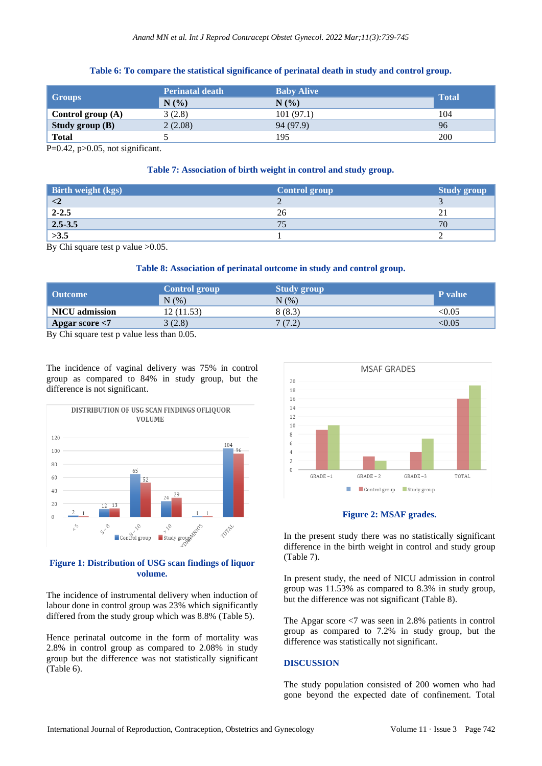## **Table 6: To compare the statistical significance of perinatal death in study and control group.**

| <b>Groups</b>       | <b>Perinatal death</b> | <b>Baby Alive</b> | <b>Total</b> |
|---------------------|------------------------|-------------------|--------------|
|                     | N(%)                   | N(%               |              |
| Control group $(A)$ | 3(2.8)                 | 101(97.1)         | 104          |
| Study group $(B)$   | 2(2.08)                | 94 (97.9)         | 96           |
| <b>Total</b>        |                        | 195               | 200          |

 $P=0.42$ ,  $p>0.05$ , not significant.

#### **Table 7: Association of birth weight in control and study group.**

| <b>Birth weight (kgs)</b> | <b>Control group</b> | <b>Study group</b> |
|---------------------------|----------------------|--------------------|
| $\langle 2$               |                      |                    |
| $2 - 2.5$                 | 26                   | 41                 |
| $2.5 - 3.5$               |                      | 70                 |
| >3.5                      |                      |                    |

By Chi square test p value >0.05.

#### **Table 8: Association of perinatal outcome in study and control group.**

| Outcome               | <b>Control group</b><br>N(%) | <b>Study group</b><br>N(% ) | P value |
|-----------------------|------------------------------|-----------------------------|---------|
| <b>NICU</b> admission | 12 (11.53)                   | 8(8.3)                      | <0.05   |
| Apgar score $<$ 7     | 3(2.8)                       | 7(7.2)                      | < 0.05  |

By Chi square test p value less than 0.05.

The incidence of vaginal delivery was 75% in control group as compared to 84% in study group, but the difference is not significant.



## **Figure 1: Distribution of USG scan findings of liquor volume.**

The incidence of instrumental delivery when induction of labour done in control group was 23% which significantly differed from the study group which was 8.8% (Table 5).

Hence perinatal outcome in the form of mortality was 2.8% in control group as compared to 2.08% in study group but the difference was not statistically significant (Table 6).



**Figure 2: MSAF grades.**

In the present study there was no statistically significant difference in the birth weight in control and study group (Table 7).

In present study, the need of NICU admission in control group was 11.53% as compared to 8.3% in study group, but the difference was not significant (Table 8).

The Apgar score <7 was seen in 2.8% patients in control group as compared to 7.2% in study group, but the difference was statistically not significant.

## **DISCUSSION**

The study population consisted of 200 women who had gone beyond the expected date of confinement. Total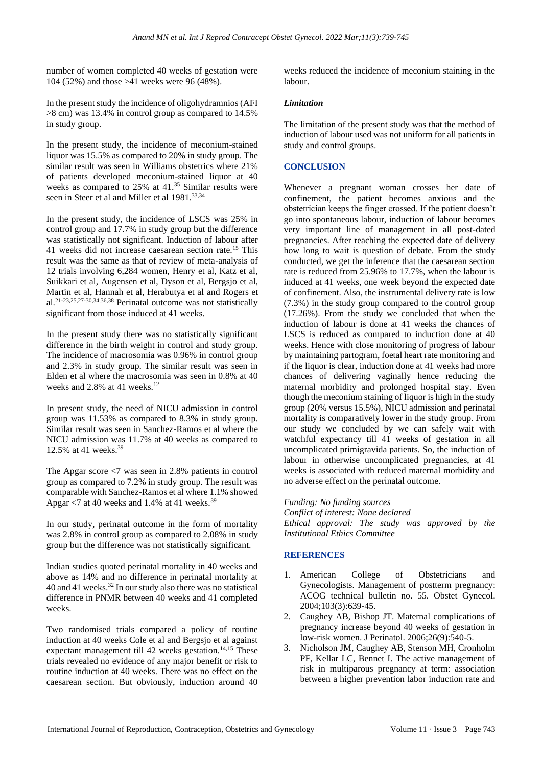number of women completed 40 weeks of gestation were 104 (52%) and those >41 weeks were 96 (48%).

In the present study the incidence of oligohydramnios (AFI >8 cm) was 13.4% in control group as compared to 14.5% in study group.

In the present study, the incidence of meconium-stained liquor was 15.5% as compared to 20% in study group. The similar result was seen in Williams obstetrics where 21% of patients developed meconium-stained liquor at 40 weeks as compared to 25% at 41.<sup>35</sup> Similar results were seen in Steer et al and Miller et al 1981.<sup>33,34</sup>

In the present study, the incidence of LSCS was 25% in control group and 17.7% in study group but the difference was statistically not significant. Induction of labour after 41 weeks did not increase caesarean section rate.<sup>15</sup> This result was the same as that of review of meta-analysis of 12 trials involving 6,284 women, Henry et al, Katz et al, Suikkari et al, Augensen et al, Dyson et al, Bergsjo et al, Martin et al, Hannah et al, Herabutya et al and Rogers et al. 21-23,25,27-30,34,36,38 Perinatal outcome was not statistically significant from those induced at 41 weeks.

In the present study there was no statistically significant difference in the birth weight in control and study group. The incidence of macrosomia was 0.96% in control group and 2.3% in study group. The similar result was seen in Elden et al where the macrosomia was seen in 0.8% at 40 weeks and  $2.8\%$  at 41 weeks.<sup>12</sup>

In present study, the need of NICU admission in control group was 11.53% as compared to 8.3% in study group. Similar result was seen in Sanchez-Ramos et al where the NICU admission was 11.7% at 40 weeks as compared to 12.5% at 41 weeks.<sup>39</sup>

The Apgar score <7 was seen in 2.8% patients in control group as compared to 7.2% in study group. The result was comparable with Sanchez-Ramos et al where 1.1% showed Apgar  $\langle 7 \rangle$  at 40 weeks and 1.4% at 41 weeks.<sup>39</sup>

In our study, perinatal outcome in the form of mortality was 2.8% in control group as compared to 2.08% in study group but the difference was not statistically significant.

Indian studies quoted perinatal mortality in 40 weeks and above as 14% and no difference in perinatal mortality at 40 and 41 weeks.<sup>32</sup> In our study also there was no statistical difference in PNMR between 40 weeks and 41 completed weeks.

Two randomised trials compared a policy of routine induction at 40 weeks Cole et al and Bergsjo et al against expectant management till 42 weeks gestation.<sup>14,15</sup> These trials revealed no evidence of any major benefit or risk to routine induction at 40 weeks. There was no effect on the caesarean section. But obviously, induction around 40 weeks reduced the incidence of meconium staining in the labour.

#### *Limitation*

The limitation of the present study was that the method of induction of labour used was not uniform for all patients in study and control groups.

### **CONCLUSION**

Whenever a pregnant woman crosses her date of confinement, the patient becomes anxious and the obstetrician keeps the finger crossed. If the patient doesn't go into spontaneous labour, induction of labour becomes very important line of management in all post-dated pregnancies. After reaching the expected date of delivery how long to wait is question of debate. From the study conducted, we get the inference that the caesarean section rate is reduced from 25.96% to 17.7%, when the labour is induced at 41 weeks, one week beyond the expected date of confinement. Also, the instrumental delivery rate is low (7.3%) in the study group compared to the control group (17.26%). From the study we concluded that when the induction of labour is done at 41 weeks the chances of LSCS is reduced as compared to induction done at 40 weeks. Hence with close monitoring of progress of labour by maintaining partogram, foetal heart rate monitoring and if the liquor is clear, induction done at 41 weeks had more chances of delivering vaginally hence reducing the maternal morbidity and prolonged hospital stay. Even though the meconium staining of liquor is high in the study group (20% versus 15.5%), NICU admission and perinatal mortality is comparatively lower in the study group. From our study we concluded by we can safely wait with watchful expectancy till 41 weeks of gestation in all uncomplicated primigravida patients. So, the induction of labour in otherwise uncomplicated pregnancies, at 41 weeks is associated with reduced maternal morbidity and no adverse effect on the perinatal outcome.

#### *Funding: No funding sources*

*Conflict of interest: None declared Ethical approval: The study was approved by the Institutional Ethics Committee*

### **REFERENCES**

- 1. American College of Obstetricians and Gynecologists. Management of postterm pregnancy: ACOG technical bulletin no. 55. Obstet Gynecol. 2004;103(3):639-45.
- 2. Caughey AB, Bishop JT. Maternal complications of pregnancy increase beyond 40 weeks of gestation in low-risk women. J Perinatol. 2006;26(9):540-5.
- 3. Nicholson JM, Caughey AB, Stenson MH, Cronholm PF, Kellar LC, Bennet I. The active management of risk in multiparous pregnancy at term: association between a higher prevention labor induction rate and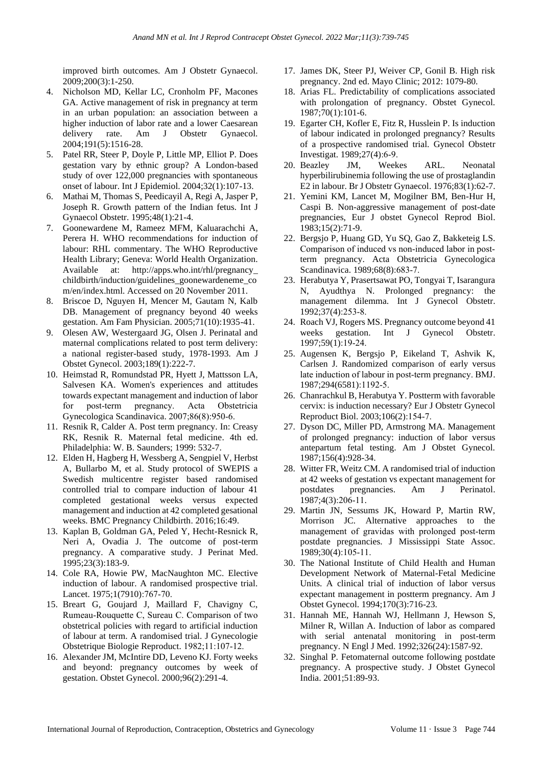improved birth outcomes. Am J Obstetr Gynaecol. 2009;200(3):1-250.

- 4. Nicholson MD, Kellar LC, Cronholm PF, Macones GA. Active management of risk in pregnancy at term in an urban population: an association between a higher induction of labor rate and a lower Caesarean delivery rate. Am J Obstetr Gynaecol. 2004;191(5):1516-28.
- 5. Patel RR, Steer P, Doyle P, Little MP, Elliot P. Does gestation vary by ethnic group? A London-based study of over 122,000 pregnancies with spontaneous onset of labour. Int J Epidemiol. 2004;32(1):107-13.
- 6. Mathai M, Thomas S, Peedicayil A, Regi A, Jasper P, Joseph R. Growth pattern of the Indian fetus. Int J Gynaecol Obstetr. 1995;48(1):21-4.
- 7. Goonewardene M, Rameez MFM, Kaluarachchi A, Perera H. WHO recommendations for induction of labour: RHL commentary. The WHO Reproductive Health Library; Geneva: World Health Organization. Available at: http://apps.who.int/rhl/pregnancy\_ childbirth/induction/guidelines\_goonewardeneme\_co m/en/index.html. Accessed on 20 November 2011.
- 8. Briscoe D, Nguyen H, Mencer M, Gautam N, Kalb DB. Management of pregnancy beyond 40 weeks gestation. Am Fam Physician. 2005;71(10):1935-41.
- 9. Olesen AW, Westergaard JG, Olsen J. Perinatal and maternal complications related to post term delivery: a national register-based study, 1978-1993. Am J Obstet Gynecol. 2003;189(1):222-7.
- 10. Heimstad R, Romundstad PR, Hyett J, Mattsson LA, Salvesen KA. Women's experiences and attitudes towards expectant management and induction of labor for post-term pregnancy. Acta Obstetricia Gynecologica Scandinavica. 2007;86(8):950‐6.
- 11. Resnik R, Calder A. Post term pregnancy. In: Creasy RK, Resnik R. Maternal fetal medicine. 4th ed. Philadelphia: W. B. Saunders; 1999: 532-7.
- 12. Elden H, Hagberg H, Wessberg A, Sengpiel V, Herbst A, Bullarbo M, et al. Study protocol of SWEPIS a Swedish multicentre register based randomised controlled trial to compare induction of labour 41 completed gestational weeks versus expected management and induction at 42 completed gesational weeks. BMC Pregnancy Childbirth. 2016;16:49.
- 13. Kaplan B, Goldman GA, Peled Y, Hecht-Resnick R, Neri A, Ovadia J. The outcome of post-term pregnancy. A comparative study. J Perinat Med. 1995;23(3):183-9.
- 14. Cole RA, Howie PW, MacNaughton MC. Elective induction of labour. A randomised prospective trial. Lancet. 1975;1(7910):767‐70.
- 15. Breart G, Goujard J, Maillard F, Chavigny C, Rumeau‐Rouquette C, Sureau C. Comparison of two obstetrical policies with regard to artificial induction of labour at term. A randomised trial. J Gynecologie Obstetrique Biologie Reproduct. 1982;11:107‐12.
- 16. Alexander JM, McIntire DD, Leveno KJ. Forty weeks and beyond: pregnancy outcomes by week of gestation. Obstet Gynecol. 2000;96(2):291-4.
- 17. James DK, Steer PJ, Weiver CP, Gonil B. High risk pregnancy. 2nd ed. Mayo Clinic; 2012: 1079-80.
- 18. Arias FL. Predictability of complications associated with prolongation of pregnancy. Obstet Gynecol. 1987;70(1):101-6.
- 19. Egarter CH, Kofler E, Fitz R, Husslein P. Is induction of labour indicated in prolonged pregnancy? Results of a prospective randomised trial. Gynecol Obstetr Investigat. 1989;27(4):6‐9.
- 20. Beazley JM, Weekes ARL. Neonatal hyperbilirubinemia following the use of prostaglandin E2 in labour. Br J Obstetr Gynaecol. 1976;83(1):62-7.
- 21. Yemini KM, Lancet M, Mogilner BM, Ben-Hur H, Caspi B. Non-aggressive management of post-date pregnancies, Eur J obstet Gynecol Reprod Biol. 1983;15(2):71-9.
- 22. Bergsjo P, Huang GD, Yu SQ, Gao Z, Bakketeig LS. Comparison of induced vs non-induced labor in postterm pregnancy. Acta Obstetricia Gynecologica Scandinavica. 1989;68(8):683‐7.
- 23. Herabutya Y, Prasertsawat PO, Tongyai T, Isarangura N, Ayudthya N. Prolonged pregnancy: the management dilemma. Int J Gynecol Obstetr. 1992;37(4):253‐8.
- 24. Roach VJ, Rogers MS. Pregnancy outcome beyond 41 weeks gestation. Int J Gynecol Obstetr. 1997;59(1):19‐24.
- 25. Augensen K, Bergsjo P, Eikeland T, Ashvik K, Carlsen J. Randomized comparison of early versus late induction of labour in post‐term pregnancy. BMJ. 1987;294(6581):1192‐5.
- 26. Chanrachkul B, Herabutya Y. Postterm with favorable cervix: is induction necessary? Eur J Obstetr Gynecol Reproduct Biol. 2003;106(2):154‐7.
- 27. Dyson DC, Miller PD, Armstrong MA. Management of prolonged pregnancy: induction of labor versus antepartum fetal testing. Am J Obstet Gynecol. 1987;156(4):928-34.
- 28. Witter FR, Weitz CM. A randomised trial of induction at 42 weeks of gestation vs expectant management for postdates pregnancies. Am J Perinatol. 1987;4(3):206‐11.
- 29. Martin JN, Sessums JK, Howard P, Martin RW, Morrison JC. Alternative approaches to the management of gravidas with prolonged post-term postdate pregnancies. J Mississippi State Assoc. 1989;30(4):105‐11.
- 30. The National Institute of Child Health and Human Development Network of Maternal-Fetal Medicine Units. A clinical trial of induction of labor versus expectant management in postterm pregnancy. Am J Obstet Gynecol. 1994;170(3):716-23.
- 31. Hannah ME, Hannah WJ, Hellmann J, Hewson S, Milner R, Willan A. Induction of labor as compared with serial antenatal monitoring in post-term pregnancy. N Engl J Med. 1992;326(24):1587-92.
- 32. Singhal P. Fetomaternal outcome following postdate pregnancy. A prospective study. J Obstet Gynecol India. 2001;51:89-93.